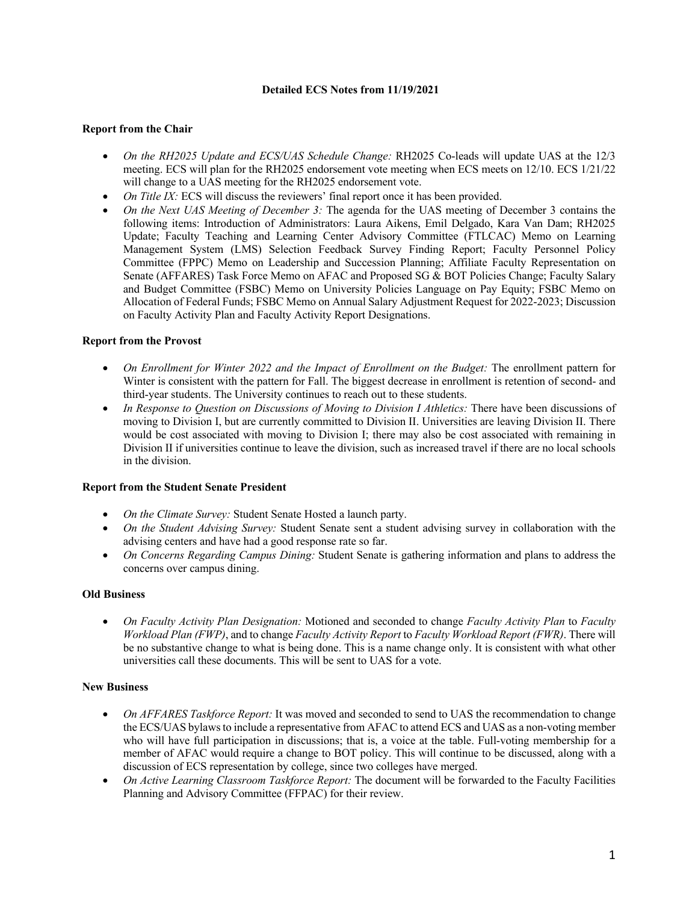### **Detailed ECS Notes from 11/19/2021**

### **Report from the Chair**

- *On the RH2025 Update and ECS/UAS Schedule Change:* RH2025 Co-leads will update UAS at the 12/3 meeting. ECS will plan for the RH2025 endorsement vote meeting when ECS meets on 12/10. ECS 1/21/22 will change to a UAS meeting for the RH2025 endorsement vote.
- *On Title IX:* ECS will discuss the reviewers' final report once it has been provided.
- *On the Next UAS Meeting of December 3:* The agenda for the UAS meeting of December 3 contains the following items: Introduction of Administrators: Laura Aikens, Emil Delgado, Kara Van Dam; RH2025 Update; Faculty Teaching and Learning Center Advisory Committee (FTLCAC) Memo on Learning Management System (LMS) Selection Feedback Survey Finding Report; Faculty Personnel Policy Committee (FPPC) Memo on Leadership and Succession Planning; Affiliate Faculty Representation on Senate (AFFARES) Task Force Memo on AFAC and Proposed SG & BOT Policies Change; Faculty Salary and Budget Committee (FSBC) Memo on University Policies Language on Pay Equity; FSBC Memo on Allocation of Federal Funds; FSBC Memo on Annual Salary Adjustment Request for 2022-2023; Discussion on Faculty Activity Plan and Faculty Activity Report Designations.

### **Report from the Provost**

- *On Enrollment for Winter 2022 and the Impact of Enrollment on the Budget:* The enrollment pattern for Winter is consistent with the pattern for Fall. The biggest decrease in enrollment is retention of second- and third-year students. The University continues to reach out to these students.
- *In Response to Question on Discussions of Moving to Division I Athletics:* There have been discussions of moving to Division I, but are currently committed to Division II. Universities are leaving Division II. There would be cost associated with moving to Division I; there may also be cost associated with remaining in Division II if universities continue to leave the division, such as increased travel if there are no local schools in the division.

#### **Report from the Student Senate President**

- *On the Climate Survey:* Student Senate Hosted a launch party.
- *On the Student Advising Survey:* Student Senate sent a student advising survey in collaboration with the advising centers and have had a good response rate so far.
- *On Concerns Regarding Campus Dining:* Student Senate is gathering information and plans to address the concerns over campus dining.

# **Old Business**

• *On Faculty Activity Plan Designation:* Motioned and seconded to change *Faculty Activity Plan* to *Faculty Workload Plan (FWP)*, and to change *Faculty Activity Report* to *Faculty Workload Report (FWR)*. There will be no substantive change to what is being done. This is a name change only. It is consistent with what other universities call these documents. This will be sent to UAS for a vote.

# **New Business**

- *On AFFARES Taskforce Report:* It was moved and seconded to send to UAS the recommendation to change the ECS/UAS bylaws to include a representative from AFAC to attend ECS and UAS as a non-voting member who will have full participation in discussions; that is, a voice at the table. Full-voting membership for a member of AFAC would require a change to BOT policy. This will continue to be discussed, along with a discussion of ECS representation by college, since two colleges have merged.
- *On Active Learning Classroom Taskforce Report:* The document will be forwarded to the Faculty Facilities Planning and Advisory Committee (FFPAC) for their review.